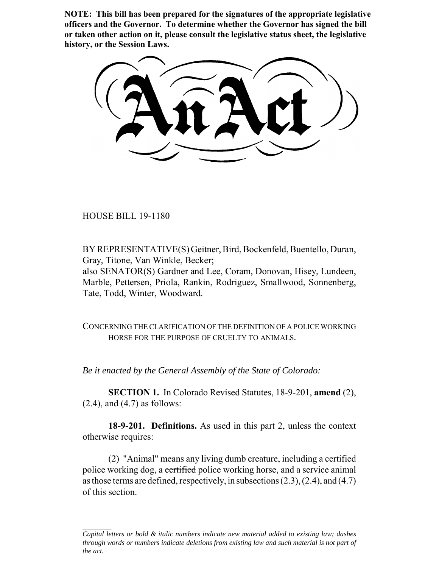**NOTE: This bill has been prepared for the signatures of the appropriate legislative officers and the Governor. To determine whether the Governor has signed the bill or taken other action on it, please consult the legislative status sheet, the legislative history, or the Session Laws.**

HOUSE BILL 19-1180

BY REPRESENTATIVE(S) Geitner, Bird, Bockenfeld, Buentello, Duran, Gray, Titone, Van Winkle, Becker;

also SENATOR(S) Gardner and Lee, Coram, Donovan, Hisey, Lundeen, Marble, Pettersen, Priola, Rankin, Rodriguez, Smallwood, Sonnenberg, Tate, Todd, Winter, Woodward.

CONCERNING THE CLARIFICATION OF THE DEFINITION OF A POLICE WORKING HORSE FOR THE PURPOSE OF CRUELTY TO ANIMALS.

*Be it enacted by the General Assembly of the State of Colorado:*

**SECTION 1.** In Colorado Revised Statutes, 18-9-201, **amend** (2),  $(2.4)$ , and  $(4.7)$  as follows:

**18-9-201. Definitions.** As used in this part 2, unless the context otherwise requires:

(2) "Animal" means any living dumb creature, including a certified police working dog, a certified police working horse, and a service animal as those terms are defined, respectively, in subsections (2.3), (2.4), and (4.7) of this section.

*Capital letters or bold & italic numbers indicate new material added to existing law; dashes through words or numbers indicate deletions from existing law and such material is not part of the act.*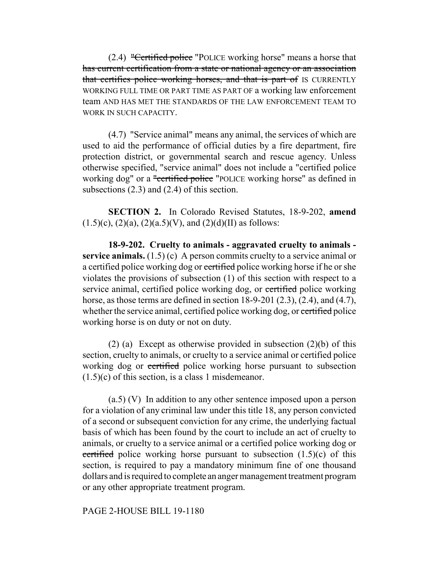(2.4) "Certified police "POLICE working horse" means a horse that has current certification from a state or national agency or an association that certifies police working horses, and that is part of IS CURRENTLY WORKING FULL TIME OR PART TIME AS PART OF a working law enforcement team AND HAS MET THE STANDARDS OF THE LAW ENFORCEMENT TEAM TO WORK IN SUCH CAPACITY.

(4.7) "Service animal" means any animal, the services of which are used to aid the performance of official duties by a fire department, fire protection district, or governmental search and rescue agency. Unless otherwise specified, "service animal" does not include a "certified police working dog" or a "certified police "POLICE working horse" as defined in subsections (2.3) and (2.4) of this section.

**SECTION 2.** In Colorado Revised Statutes, 18-9-202, **amend**  $(1.5)(c)$ ,  $(2)(a)$ ,  $(2)(a.5)(V)$ , and  $(2)(d)(II)$  as follows:

**18-9-202. Cruelty to animals - aggravated cruelty to animals service animals.** (1.5) (c) A person commits cruelty to a service animal or a certified police working dog or certified police working horse if he or she violates the provisions of subsection (1) of this section with respect to a service animal, certified police working dog, or certified police working horse, as those terms are defined in section  $18-9-201$   $(2.3)$ ,  $(2.4)$ , and  $(4.7)$ , whether the service animal, certified police working dog, or certified police working horse is on duty or not on duty.

(2) (a) Except as otherwise provided in subsection (2)(b) of this section, cruelty to animals, or cruelty to a service animal or certified police working dog or certified police working horse pursuant to subsection  $(1.5)(c)$  of this section, is a class 1 misdemeanor.

(a.5) (V) In addition to any other sentence imposed upon a person for a violation of any criminal law under this title 18, any person convicted of a second or subsequent conviction for any crime, the underlying factual basis of which has been found by the court to include an act of cruelty to animals, or cruelty to a service animal or a certified police working dog or certified police working horse pursuant to subsection  $(1.5)(c)$  of this section, is required to pay a mandatory minimum fine of one thousand dollars and is required to complete an anger management treatment program or any other appropriate treatment program.

## PAGE 2-HOUSE BILL 19-1180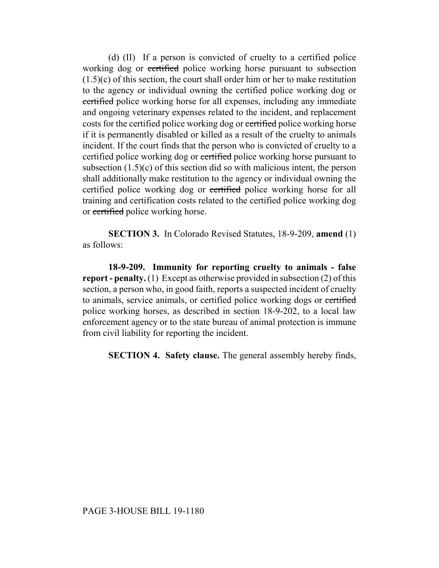(d) (II) If a person is convicted of cruelty to a certified police working dog or certified police working horse pursuant to subsection (1.5)(c) of this section, the court shall order him or her to make restitution to the agency or individual owning the certified police working dog or certified police working horse for all expenses, including any immediate and ongoing veterinary expenses related to the incident, and replacement costs for the certified police working dog or certified police working horse if it is permanently disabled or killed as a result of the cruelty to animals incident. If the court finds that the person who is convicted of cruelty to a certified police working dog or certified police working horse pursuant to subsection (1.5)(c) of this section did so with malicious intent, the person shall additionally make restitution to the agency or individual owning the certified police working dog or certified police working horse for all training and certification costs related to the certified police working dog or certified police working horse.

**SECTION 3.** In Colorado Revised Statutes, 18-9-209, **amend** (1) as follows:

**18-9-209. Immunity for reporting cruelty to animals - false report - penalty.** (1) Except as otherwise provided in subsection (2) of this section, a person who, in good faith, reports a suspected incident of cruelty to animals, service animals, or certified police working dogs or certified police working horses, as described in section 18-9-202, to a local law enforcement agency or to the state bureau of animal protection is immune from civil liability for reporting the incident.

**SECTION 4. Safety clause.** The general assembly hereby finds,